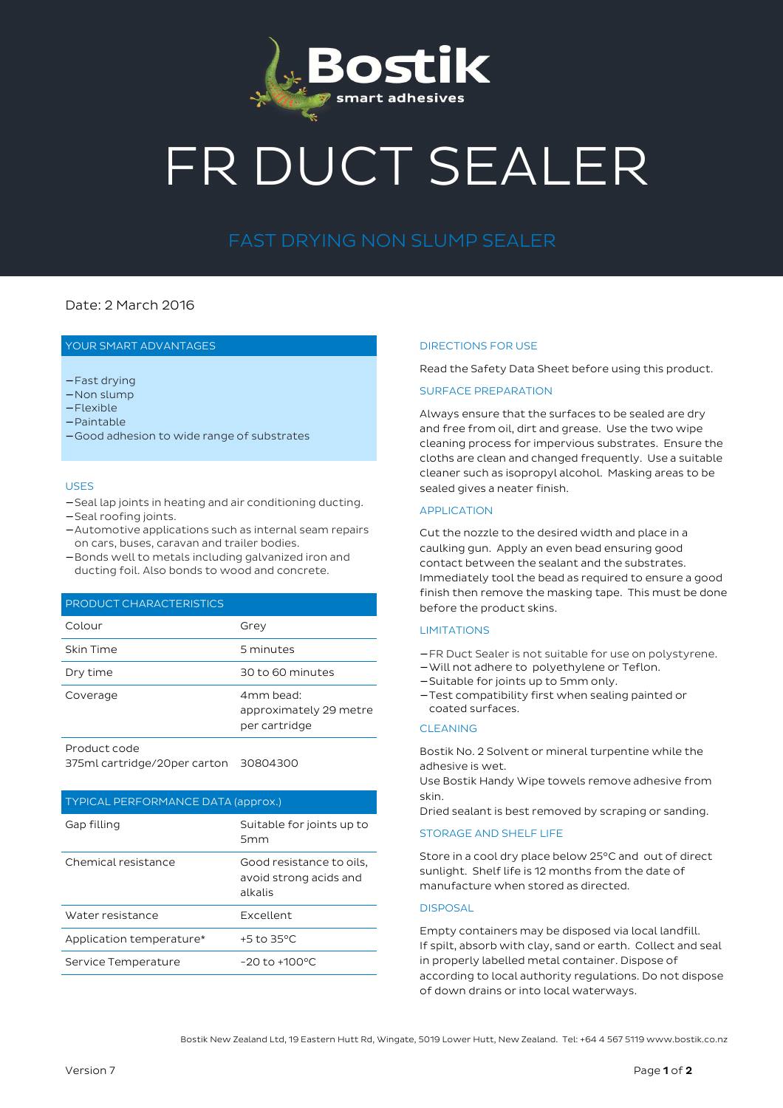

# FR DUCT SEALER

# FAST DRYING NON SLUMP SEALER

# Date: 2 March 2016

# YOUR SMART ADVANTAGES

- − Fast drying
- − Non slump
- − Flexible
- − Paintable
- − Good adhesion to wide range of substrates

### USES

- − Seal lap joints in heating and air conditioning ducting.
- − Seal roofing joints.
- − Automotive applications such as internal seam repairs on cars, buses, caravan and trailer bodies.
- − Bonds well to metals including galvanized iron and ducting foil. Also bonds to wood and concrete.

## PRODUCT CHARACTERISTICS

| Colour    | Grey                                                 |
|-----------|------------------------------------------------------|
| Skin Time | 5 minutes                                            |
| Dry time  | 30 to 60 minutes                                     |
| Coverage  | 4mm bead:<br>approximately 29 metre<br>per cartridge |
|           |                                                      |

Product code

375ml cartridge/20per carton 30804300

#### TYPICAL PERFORMANCE DATA (approx.)

| Gap filling              | Suitable for joints up to<br>5 <sub>mm</sub>                  |
|--------------------------|---------------------------------------------------------------|
| Chemical resistance      | Good resistance to oils.<br>avoid strong acids and<br>alkalis |
| Water resistance         | Excellent                                                     |
| Application temperature* | $+5$ to 35°C                                                  |
| Service Temperature      | $-20$ to $+100^{\circ}$ C                                     |

#### DIRECTIONS FOR USE

Read the Safety Data Sheet before using this product.

# SURFACE PREPARATION

Always ensure that the surfaces to be sealed are dry and free from oil, dirt and grease. Use the two wipe cleaning process for impervious substrates. Ensure the cloths are clean and changed frequently. Use a suitable cleaner such as isopropyl alcohol. Masking areas to be sealed gives a neater finish.

# APPLICATION

Cut the nozzle to the desired width and place in a caulking gun. Apply an even bead ensuring good contact between the sealant and the substrates. Immediately tool the bead as required to ensure a good finish then remove the masking tape. This must be done before the product skins.

#### LIMITATIONS

- − FR Duct Sealer is not suitable for use on polystyrene.
- − Will not adhere to polyethylene or Teflon.
- − Suitable for joints up to 5mm only.
- − Test compatibility first when sealing painted or coated surfaces.

# CLEANING

Bostik No. 2 Solvent or mineral turpentine while the adhesive is wet.

Use Bostik Handy Wipe towels remove adhesive from skin.

Dried sealant is best removed by scraping or sanding.

#### STORAGE AND SHELF LIFE

Store in a cool dry place below 25°C and out of direct sunlight. Shelf life is 12 months from the date of manufacture when stored as directed.

# DISPOSAL

Empty containers may be disposed via local landfill. If spilt, absorb with clay, sand or earth. Collect and seal in properly labelled metal container. Dispose of according to local authority regulations. Do not dispose of down drains or into local waterways.

Bostik New Zealand Ltd, 19 Eastern Hutt Rd, Wingate, 5019 Lower Hutt, New Zealand. Tel: +64 4 567 5119 www.bostik.co.nz